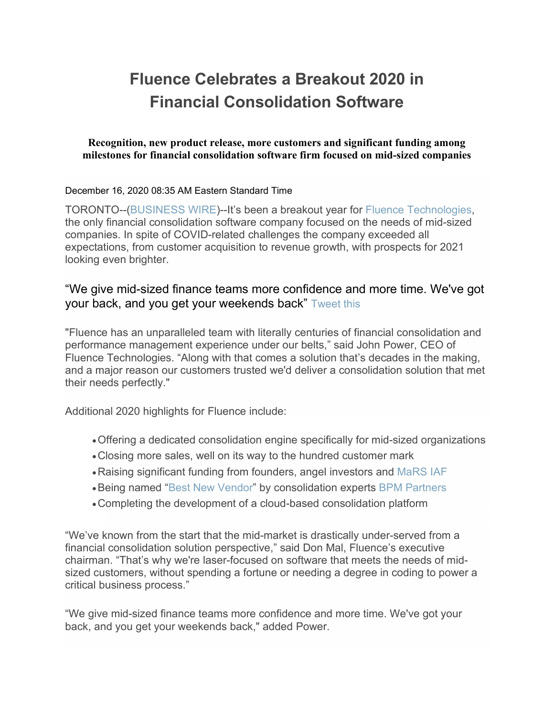# **Fluence Celebrates a Breakout 2020 in Financial Consolidation Software**

### **Recognition, new product release, more customers and significant funding among milestones for financial consolidation software firm focused on mid-sized companies**

#### December 16, 2020 08:35 AM Eastern Standard Time

TORONTO--[\(BUSINESS WIRE\)](https://www.businesswire.com/)--It's been a breakout year for [Fluence Technologies,](https://cts.businesswire.com/ct/CT?id=smartlink&url=https%3A%2F%2Fwww.fluencetech.com%2F&esheet=52349537&newsitemid=20201216005347&lan=en-US&anchor=Fluence+Technologies&index=1&md5=eeddee77ed3cb76dfdd9d74fee709415) the only financial consolidation software company focused on the needs of mid-sized companies. In spite of COVID-related challenges the company exceeded all expectations, from customer acquisition to revenue growth, with prospects for 2021 looking even brighter.

## "We give mid-sized finance teams more confidence and more time. We've got your back, and you get your weekends back" [Tweet](https://www.businesswire.com/news/home/20201216005347/en) this

"Fluence has an unparalleled team with literally centuries of financial consolidation and performance management experience under our belts," said John Power, CEO of Fluence Technologies. "Along with that comes a solution that's decades in the making, and a major reason our customers trusted we'd deliver a consolidation solution that met their needs perfectly."

Additional 2020 highlights for Fluence include:

- •Offering a dedicated consolidation engine specifically for mid-sized organizations
- •Closing more sales, well on its way to the hundred customer mark
- •Raising significant funding from founders, angel investors and [MaRS IAF](https://cts.businesswire.com/ct/CT?id=smartlink&url=https%3A%2F%2Fwww.marsiaf.com%2F&esheet=52349537&newsitemid=20201216005347&lan=en-US&anchor=MaRS+IAF&index=2&md5=3416056ea8ac41d72773f15afbf9ff5a)
- •Being named ["Best New Vendor"](https://cts.businesswire.com/ct/CT?id=smartlink&url=https%3A%2F%2Fwww.fluencetech.com%2Fnews%2Ffluence-recognized-as-best-new-vendor-in-bpm-pulse-2020-for-performance-management&esheet=52349537&newsitemid=20201216005347&lan=en-US&anchor=Best+New+Vendor&index=3&md5=b791ea37573fb0709caccc4feedfe5d9) by consolidation experts [BPM Partners](https://cts.businesswire.com/ct/CT?id=smartlink&url=https%3A%2F%2Fwww.bpmpartners.com%2F&esheet=52349537&newsitemid=20201216005347&lan=en-US&anchor=BPM+Partners&index=4&md5=ead2e7fd163b647ef12fdabfccb90cb2)
- •Completing the development of a cloud-based consolidation platform

"We've known from the start that the mid-market is drastically under-served from a financial consolidation solution perspective," said Don Mal, Fluence's executive chairman. "That's why we're laser-focused on software that meets the needs of midsized customers, without spending a fortune or needing a degree in coding to power a critical business process."

"We give mid-sized finance teams more confidence and more time. We've got your back, and you get your weekends back," added Power.